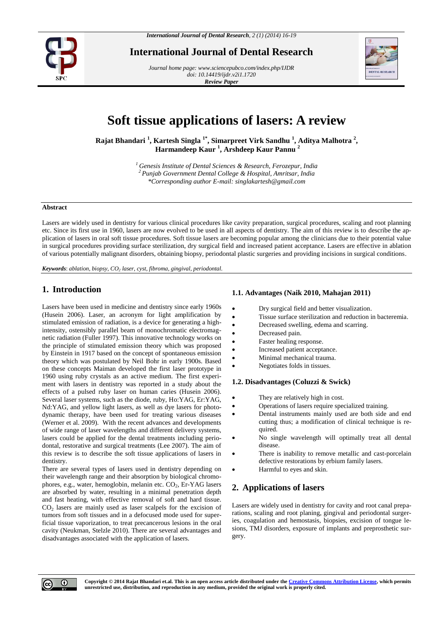

**International Journal of Dental Research**

*Journal home page[: www.sciencepubco.com/index.php/IJDR](http://www.sciencepubco.com/index.php/IJDR) doi: 10.14419/ijdr.v2i1.1720 Review Paper*



# **Soft tissue applications of lasers: A review**

**Rajat Bhandari <sup>1</sup> , Kartesh Singla 1\* , Simarpreet Virk Sandhu <sup>1</sup> , Aditya Malhotra <sup>2</sup> , Harmandeep Kaur <sup>1</sup> , Arshdeep Kaur Pannu <sup>2</sup>**

> *<sup>1</sup> Genesis Institute of Dental Sciences & Research, Ferozepur, India <sup>2</sup> Punjab Government Dental College & Hospital, Amritsar, India \*Corresponding author E-mail: [singlakartesh@gmail.com](mailto:singlakartesh@gmail.com)*

## **Abstract**

Lasers are widely used in dentistry for various clinical procedures like cavity preparation, surgical procedures, scaling and root planning etc. Since its first use in 1960, lasers are now evolved to be used in all aspects of dentistry. The aim of this review is to describe the application of lasers in oral soft tissue procedures. Soft tissue lasers are becoming popular among the clinicians due to their potential value in surgical procedures providing surface sterilization, dry surgical field and increased patient acceptance. Lasers are effective in ablation of various potentially malignant disorders, obtaining biopsy, periodontal plastic surgeries and providing incisions in surgical conditions.

*Keywords*: *ablation, biopsy, CO<sup>2</sup> laser, cyst, fibroma, gingival, periodontal.*

# **1. Introduction**

Lasers have been used in medicine and dentistry since early 1960s (Husein 2006). Laser, an acronym for light amplification by stimulated emission of radiation, is a device for generating a highintensity, ostensibly parallel beam of monochromatic electromagnetic radiation (Fuller 1997). This innovative technology works on the principle of stimulated emission theory which was proposed by Einstein in 1917 based on the concept of spontaneous emission theory which was postulated by Neil Bohr in early 1900s. Based on these concepts Maiman developed the first laser prototype in 1960 using ruby crystals as an active medium. The first experiment with lasers in dentistry was reported in a study about the effects of a pulsed ruby laser on human caries (Husein 2006). Several laser systems, such as the diode, ruby, Ho:YAG, Er:YAG, Nd:YAG, and yellow light lasers, as well as dye lasers for photodynamic therapy, have been used for treating various diseases (Werner et al. 2009). With the recent advances and developments of wide range of laser wavelengths and different delivery systems, lasers could be applied for the dental treatments including periodontal, restorative and surgical treatments (Lee 2007). The aim of this review is to describe the soft tissue applications of lasers in dentistry.

There are several types of lasers used in dentistry depending on their wavelength range and their absorption by biological chromophores, e.g., water, hemoglobin, melanin etc. CO<sub>2</sub>, Er-YAG lasers are absorbed by water, resulting in a minimal penetration depth and fast heating, with effective removal of soft and hard tissue. CO<sup>2</sup> lasers are mainly used as laser scalpels for the excision of tumors from soft tissues and in a defocused mode used for superficial tissue vaporization, to treat precancerous lesions in the oral cavity (Neukman, Stelzle 2010). There are several advantages and disadvantages associated with the application of lasers.

### **1.1. Advantages (Naik 2010, Mahajan 2011)**

- Dry surgical field and better visualization.
- Tissue surface sterilization and reduction in bacteremia.
- Decreased swelling, edema and scarring.
- Decreased pain.
- Faster healing response.
- Increased patient acceptance.
- Minimal mechanical trauma.
- Negotiates folds in tissues.

#### **1.2. Disadvantages (Coluzzi & Swick)**

- They are relatively high in cost.
- Operations of lasers require specialized training.
- Dental instruments mainly used are both side and end cutting thus; a modification of clinical technique is required.
- No single wavelength will optimally treat all dental disease.
- There is inability to remove metallic and cast-porcelain defective restorations by erbium family lasers.
- Harmful to eyes and skin.

# **2. Applications of lasers**

Lasers are widely used in dentistry for cavity and root canal preparations, scaling and root planing, gingival and periodontal surgeries, coagulation and hemostasis, biopsies, excision of tongue lesions, TMJ disorders, exposure of implants and preprosthetic surgery.

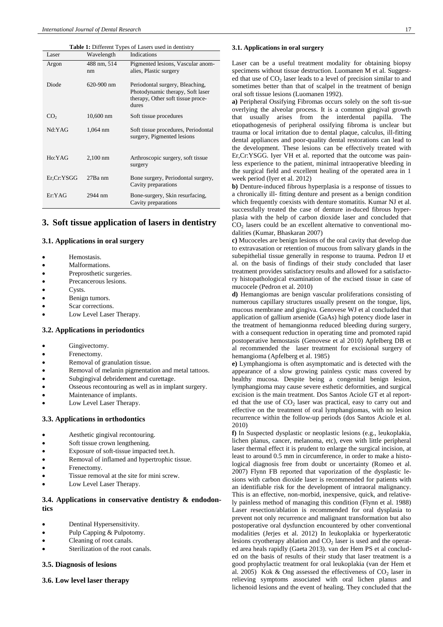| <b>Table 1:</b> Different Types of Lasers used in dentistry |                   |                                                                                                                   |
|-------------------------------------------------------------|-------------------|-------------------------------------------------------------------------------------------------------------------|
| Laser                                                       | Wavelength        | Indications                                                                                                       |
| Argon                                                       | 488 nm, 514<br>nm | Pigmented lesions, Vascular anom-<br>alies, Plastic surgery                                                       |
| Diode                                                       | $620 - 900$ nm    | Periodontal surgery, Bleaching,<br>Photodynamic therapy, Soft laser<br>therapy, Other soft tissue proce-<br>dures |
| CO <sub>2</sub>                                             | $10,600$ nm       | Soft tissue procedures                                                                                            |
| Nd·YAG                                                      | 1,064 nm          | Soft tissue procedures, Periodontal<br>surgery, Pigmented lesions                                                 |
| Ho:YAG                                                      | $2,100$ nm        | Arthroscopic surgery, soft tissue<br>surgery                                                                      |
| Er,Cr:YSGG                                                  | $27Ba$ nm         | Bone surgery, Periodontal surgery,<br>Cavity preparations                                                         |
| Er:YAG                                                      | 2944 nm           | Bone-surgery, Skin resurfacing,<br>Cavity preparations                                                            |

# **3. Soft tissue application of lasers in dentistry**

#### **3.1. Applications in oral surgery**

- Hemostasis.
- Malformations.
- Preprosthetic surgeries.
- Precancerous lesions.
- Cysts.
- Benign tumors.
- Scar corrections.
- Low Level Laser Therapy.

## **3.2. Applications in periodontics**

- Gingivectomy.
- Frenectomy.
- Removal of granulation tissue.
- Removal of melanin pigmentation and metal tattoos.
- Subgingival debridement and curettage.
- Osseous recontouring as well as in implant surgery.
- Maintenance of implants.
- Low Level Laser Therapy.

#### **3.3. Applications in orthodontics**

- Aesthetic gingival recontouring.
- Soft tissue crown lengthening.
- Exposure of soft-tissue impacted teet.h.
- Removal of inflamed and hypertrophic tissue.
- Frenectomy.
- Tissue removal at the site for mini screw.
- Low Level Laser Therapy.

## **3.4. Applications in conservative dentistry & endodontics**

- Dentinal Hypersensitivity.
- Pulp Capping & Pulpotomy.
- Cleaning of root canals.
- Sterilization of the root canals.

## **3.5. Diagnosis of lesions**

**3.6. Low level laser therapy**

#### **3.1. Applications in oral surgery**

Laser can be a useful treatment modality for obtaining biopsy specimens without tissue destruction. Luomanen M et al. Suggested that use of  $CO<sub>2</sub>$  laser leads to a level of precision similar to and sometimes better than that of scalpel in the treatment of benign oral soft tissue lesions (Luomanen 1992).

**a)** Peripheral Ossifying Fibromas occurs solely on the soft tis-sue overlying the alveolar process. It is a common gingival growth that usually arises from the interdental papilla. The etiopathogenesis of peripheral ossifying fibroma is unclear but trauma or local irritation due to dental plaque, calculus, ill-fitting dental appliances and poor-quality dental restorations can lead to the development. These lesions can be effectively treated with Er,Cr:YSGG. Iyer VH et al. reported that the outcome was painless experience to the patient, minimal intraoperative bleeding in the surgical field and excellent healing of the operated area in 1 week period (Iyer et al. 2012)

**b)** Denture-induced fibrous hyperplasia is a response of tissues to a chronically ill- fitting denture and present as a benign condition which frequently coexists with denture stomatitis. Kumar NJ et al. successfully treated the case of denture in-duced fibrous hyperplasia with the help of carbon dioxide laser and concluded that  $CO<sub>2</sub>$  lasers could be an excellent alternative to conventional modalities (Kumar, Bhaskaran 2007)

**c)** Mucoceles are benign lesions of the oral cavity that develop due to extravasation or retention of mucous from salivary glands in the subepithelial tissue generally in response to trauma. Pedron IJ et al. on the basis of findings of their study concluded that laser treatment provides satisfactory results and allowed for a satisfactory histopathological examination of the excised tissue in case of mucocele (Pedron et al. 2010)

**d)** Hemangiomas are benign vascular proliferations consisting of numerous capillary structures usually present on the tongue, lips, mucous membrane and gingiva. Genovese WJ et al concluded that application of gallium arsenide (GaAs) high potency diode laser in the treatment of hemangionma reduced bleeding during surgery, with a consequent reduction in operating time and promoted rapid postoperative hemostasis (Genovese et al 2010) Apfelberg DB et al recommended the laser treatment for excisional surgery of hemangioma (Apfelberg et al. 1985)

**e)** Lymphangioma is often asymptomatic and is detected with the appearance of a slow growing painless cystic mass covered by healthy mucosa. Despite being a congenital benign lesion, lymphangioma may cause severe esthetic deformities, and surgical excision is the main treatment. Dos Santos Aciole GT et al reported that the use of  $CO<sub>2</sub>$  laser was practical, easy to carry out and effective on the treatment of oral lymphangiomas, with no lesion recurrence within the follow-up periods (dos Santos Aciole et al. 2010)

**f)** In Suspected dysplastic or neoplastic lesions (e.g., leukoplakia, lichen planus, cancer, melanoma, etc), even with little peripheral laser thermal effect it is prudent to enlarge the surgical incision, at least to around 0.5 mm in circumference, in order to make a histological diagnosis free from doubt or uncertainty (Romeo et al. 2007) Flynn FB reported that vaporization of the dysplastic lesions with carbon dioxide laser is recommended for patients with an identifiable risk for the development of intraoral malignancy. This is an effective, non-morbid, inexpensive, quick, and relatively painless method of managing this condition (Flynn et al. 1988) Laser resection/ablation is recommended for oral dysplasia to prevent not only recurrence and malignant transformation but also postoperative oral dysfunction encountered by other conventional modalities (Jerjes et al. 2012) In leukoplakia or hyperkeratotic lesions cryotherapy ablation and  $CO<sub>2</sub>$  laser is used and the operated area heals rapidly (Gaeta 2013). van der Hem PS et al concluded on the basis of results of their study that laser treatment is a good prophylactic treatment for oral leukoplakia (van der Hem et al. 2005) Kok & Ong assessed the effectiveness of  $CO<sub>2</sub>$  laser in relieving symptoms associated with oral lichen planus and lichenoid lesions and the event of healing. They concluded that the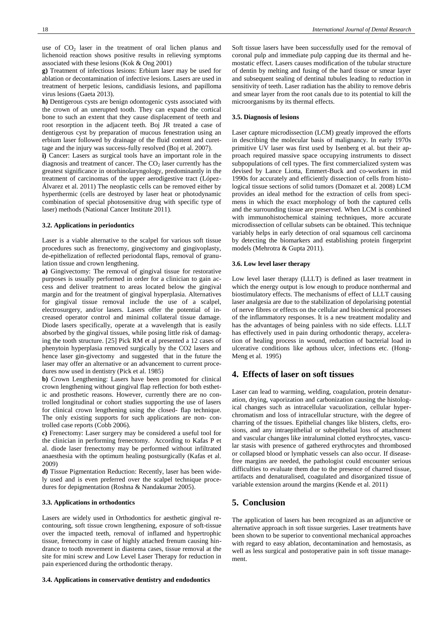use of  $CO<sub>2</sub>$  laser in the treatment of oral lichen planus and lichenoid reaction shows positive results in relieving symptoms associated with these lesions (Kok & Ong 2001)

**g)** Treatment of infectious lesions: Erbium laser may be used for ablation or decontamination of infective lesions. Lasers are used in treatment of herpetic lesions, candidiasis lesions, and papilloma virus lesions (Gaeta 2013).

**h)** Dentigerous cysts are benign odontogenic cysts associated with the crown of an unerupted tooth. They can expand the cortical bone to such an extent that they cause displacement of teeth and root resorption in the adjacent teeth. Boj JR treated a case of dentigerous cyst by preparation of mucous fenestration using an erbium laser followed by drainage of the fluid content and curettage and the injury was success-fully resolved (Boj et al. 2007).

**i)** Cancer: Lasers as surgical tools have an important role in the diagnosis and treatment of cancer. The  $CO<sub>2</sub>$  laser currently has the greatest significance in otorhinolaryngology, predominantly in the treatment of carcinomas of the upper aerodigestive tract (López-Álvarez et al. 2011) The neoplastic cells can be removed either by hyperthermic (cells are destroyed by laser heat or photodynamic combination of special photosensitive drug with specific type of laser) methods (National Cancer Institute 2011).

#### **3.2. Applications in periodontics**

Laser is a viable alternative to the scalpel for various soft tissue procedures such as frenectomy, gingivectomy and gingivoplasty, de-epithelization of reflected periodontal flaps, removal of granulation tissue and crown lengthening.

**a)** Gingivectomy: The removal of gingival tissue for restorative purposes is usually performed in order for a clinician to gain access and deliver treatment to areas located below the gingival margin and for the treatment of gingival hyperplasia. Alternatives for gingival tissue removal include the use of a scalpel, electrosurgery, and/or lasers. Lasers offer the potential of increased operator control and minimal collateral tissue damage. Diode lasers specifically, operate at a wavelength that is easily absorbed by the gingival tissues, while posing little risk of damaging the tooth structure. [25] Pick RM et al presented a 12 cases of phenytoin hyperplasia removed surgically by the CO2 lasers and hence laser gin-givectomy and suggested that in the future the laser may offer an alternative or an advancement to current procedures now used in dentistry (Pick et al. 1985)

**b)** Crown Lengthening: Lasers have been promoted for clinical crown lengthening without gingival flap reflection for both esthetic and prosthetic reasons. However, currently there are no controlled longitudinal or cohort studies supporting the use of lasers for clinical crown lengthening using the closed- flap technique. The only existing supports for such applications are non- controlled case reports (Cobb 2006).

**c)** Frenectomy: Laser surgery may be considered a useful tool for the clinician in performing frenectomy. According to Kafas P et al. diode laser frenectomy may be performed without infiltrated anaesthesia with the optimum healing postsurgically (Kafas et al. 2009)

**d)** Tissue Pigmentation Reduction: Recently, laser has been widely used and is even preferred over the scalpel technique procedures for depigmentation (Roshna & Nandakumar 2005).

#### **3.3. Applications in orthodontics**

Lasers are widely used in Orthodontics for aesthetic gingival recontouring, soft tissue crown lengthening, exposure of soft-tissue over the impacted teeth, removal of inflamed and hypertrophic tissue, frenectomy in case of highly attached frenum causing hindrance to tooth movement in diastema cases, tissue removal at the site for mini screw and Low Level Laser Therapy for reduction in pain experienced during the orthodontic therapy.

#### **3.4. Applications in conservative dentistry and endodontics**

Soft tissue lasers have been successfully used for the removal of coronal pulp and immediate pulp capping due its thermal and hemostatic effect. Lasers causes modification of the tubular structure of dentin by melting and fusing of the hard tissue or smear layer and subsequent sealing of dentinal tubules leading to reduction in sensitivity of teeth. Laser radiation has the ability to remove debris and smear layer from the root canals due to its potential to kill the microorganisms by its thermal effects.

#### **3.5. Diagnosis of lesions**

Laser capture microdissection (LCM) greatly improved the efforts in describing the molecular basis of malignancy. In early 1970s primitive UV laser was first used by Isenberg et al. but their approach required massive space occupying instruments to dissect subpopulations of cell types. The first commercialized system was devised by Lance Liotta, Emmert-Buck and co-workers in mid 1990s for accurately and efficiently dissection of cells from histological tissue sections of solid tumors (Domazet et al. 2008) LCM provides an ideal method for the extraction of cells from specimens in which the exact morphology of both the captured cells and the surrounding tissue are preserved. When LCM is combined with immunohistochemical staining techniques, more accurate microdissection of cellular subsets can be obtained. This technique variably helps in early detection of oral squamous cell carcinoma by detecting the biomarkers and establishing protein fingerprint models (Mehrotra & Gupta 2011).

## **3.6. Low level laser therapy**

Low level laser therapy (LLLT) is defined as laser treatment in which the energy output is low enough to produce nonthermal and biostimulatory effects. The mechanisms of effect of LLLT causing laser analgesia are due to the stabilization of depolarising potential of nerve fibres or effects on the cellular and biochemical processes of the inflammatory responses. It is a new treatment modality and has the advantages of being painless with no side effects. LLLT has effectively used in pain during orthodontic therapy, acceleration of healing process in wound, reduction of bacterial load in ulcerative conditions like apthous ulcer, infections etc. (Hong-Meng et al. 1995)

## **4. Effects of laser on soft tissues**

Laser can lead to warming, welding, coagulation, protein denaturation, drying, vaporization and carbonization causing the histological changes such as intracellular vacuolization, cellular hyperchromatism and loss of intracellular structure, with the degree of charring of the tissues. Epithelial changes like blisters, clefts, erosions, and any intraepithelial or subepithelial loss of attachment and vascular changes like intraluminal clotted erythrocytes, vascular stasis with presence of gathered erythrocytes and thrombosed or collapsed blood or lymphatic vessels can also occur. If diseasefree margins are needed, the pathologist could encounter serious difficulties to evaluate them due to the presence of charred tissue, artifacts and denaturalised, coagulated and disorganized tissue of variable extension around the margins (Kende et al. 2011)

# **5. Conclusion**

The application of lasers has been recognized as an adjunctive or alternative approach in soft tissue surgeries. Laser treatments have been shown to be superior to conventional mechanical approaches with regard to easy ablation, decontamination and hemostasis, as well as less surgical and postoperative pain in soft tissue management.